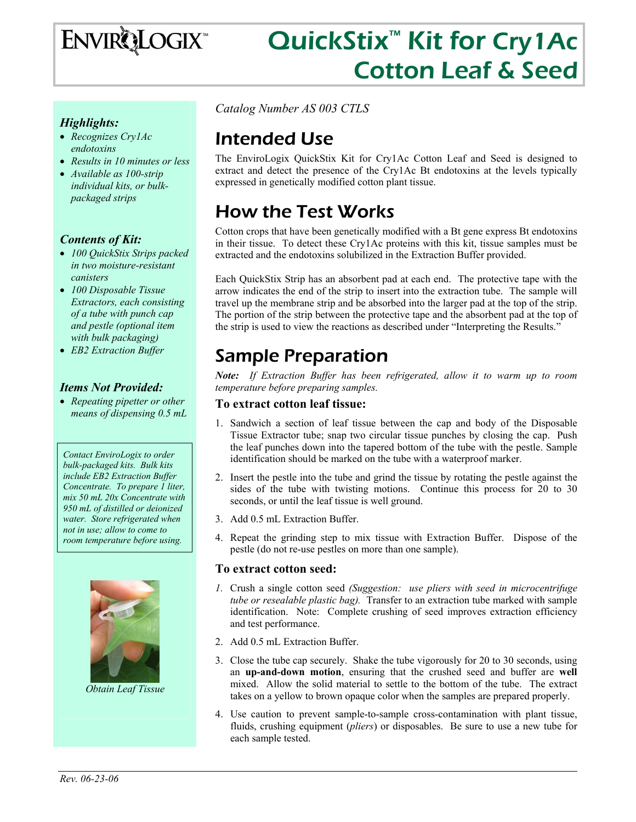

# QuickStix<sup>™</sup> Kit for Cry1Ac Cotton Leaf & Seed

#### *Highlights:*

- *Recognizes Cry1Ac endotoxins*
- *Results in 10 minutes or less*
- *Available as 100-strip individual kits, or bulkpackaged strips*

#### *Contents of Kit:*

- *100 QuickStix Strips packed in two moisture-resistant canisters*
- *100 Disposable Tissue Extractors, each consisting of a tube with punch cap and pestle (optional item with bulk packaging)*
- *EB2 Extraction Buffer*

#### *Items Not Provided:*

• *Repeating pipetter or other means of dispensing 0.5 mL* 

*Contact EnviroLogix to order bulk-packaged kits. Bulk kits include EB2 Extraction Buffer Concentrate. To prepare 1 liter, mix 50 mL 20x Concentrate with 950 mL of distilled or deionized water. Store refrigerated when not in use; allow to come to room temperature before using.* 



*Obtain Leaf Tissue* 

*Catalog Number AS 003 CTLS* 

### Intended Use

The EnviroLogix QuickStix Kit for Cry1Ac Cotton Leaf and Seed is designed to extract and detect the presence of the Cry1Ac Bt endotoxins at the levels typically expressed in genetically modified cotton plant tissue.

### How the Test Works

Cotton crops that have been genetically modified with a Bt gene express Bt endotoxins in their tissue. To detect these Cry1Ac proteins with this kit, tissue samples must be extracted and the endotoxins solubilized in the Extraction Buffer provided.

Each QuickStix Strip has an absorbent pad at each end. The protective tape with the arrow indicates the end of the strip to insert into the extraction tube. The sample will travel up the membrane strip and be absorbed into the larger pad at the top of the strip. The portion of the strip between the protective tape and the absorbent pad at the top of the strip is used to view the reactions as described under "Interpreting the Results."

### Sample Preparation

*Note: If Extraction Buffer has been refrigerated, allow it to warm up to room temperature before preparing samples.* 

#### **To extract cotton leaf tissue:**

- 1. Sandwich a section of leaf tissue between the cap and body of the Disposable Tissue Extractor tube; snap two circular tissue punches by closing the cap. Push the leaf punches down into the tapered bottom of the tube with the pestle. Sample identification should be marked on the tube with a waterproof marker.
- 2. Insert the pestle into the tube and grind the tissue by rotating the pestle against the sides of the tube with twisting motions. Continue this process for 20 to 30 seconds, or until the leaf tissue is well ground.
- 3. Add 0.5 mL Extraction Buffer.
- 4. Repeat the grinding step to mix tissue with Extraction Buffer. Dispose of the pestle (do not re-use pestles on more than one sample).

#### **To extract cotton seed:**

- *1.* Crush a single cotton seed *(Suggestion: use pliers with seed in microcentrifuge tube or resealable plastic bag).* Transfer to an extraction tube marked with sample identification. Note: Complete crushing of seed improves extraction efficiency and test performance.
- 2. Add 0.5 mL Extraction Buffer.
- 3. Close the tube cap securely. Shake the tube vigorously for 20 to 30 seconds, using an **up-and-down motion**, ensuring that the crushed seed and buffer are **well** mixed. Allow the solid material to settle to the bottom of the tube. The extract takes on a yellow to brown opaque color when the samples are prepared properly.
- 4. Use caution to prevent sample-to-sample cross-contamination with plant tissue, fluids, crushing equipment (*pliers*) or disposables. Be sure to use a new tube for each sample tested.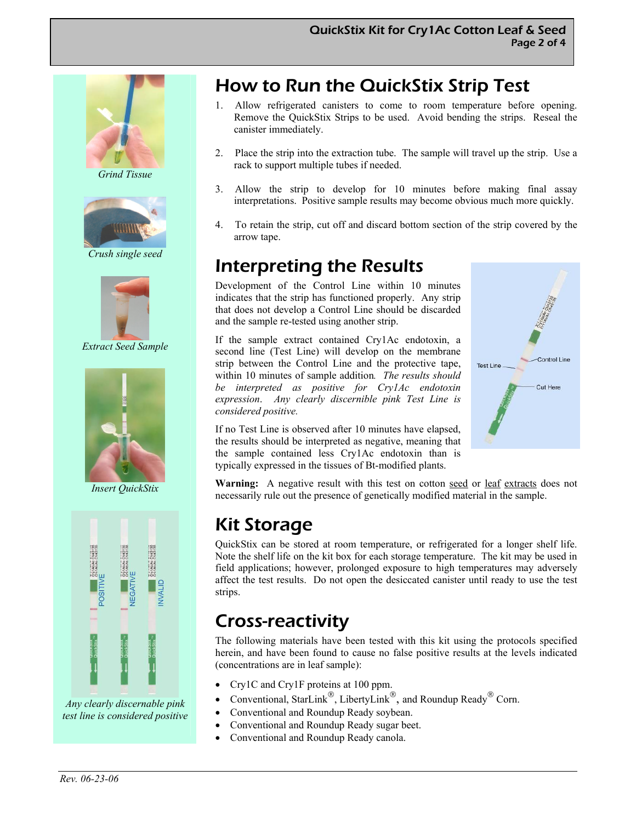

*Grind Tissue* 



*Crush single seed* 



*Extract Seed Sample* 



*Insert QuickStix* 



*Any clearly discernable pink test line is considered positive* 

# How to Run the QuickStix Strip Test

- 1. Allow refrigerated canisters to come to room temperature before opening. Remove the QuickStix Strips to be used. Avoid bending the strips. Reseal the canister immediately.
- 2. Place the strip into the extraction tube. The sample will travel up the strip. Use a rack to support multiple tubes if needed.
- 3. Allow the strip to develop for 10 minutes before making final assay interpretations. Positive sample results may become obvious much more quickly.
- 4. To retain the strip, cut off and discard bottom section of the strip covered by the arrow tape.

### Interpreting the Results

Development of the Control Line within 10 minutes indicates that the strip has functioned properly. Any strip that does not develop a Control Line should be discarded and the sample re-tested using another strip.

If the sample extract contained Cry1Ac endotoxin, a second line (Test Line) will develop on the membrane strip between the Control Line and the protective tape, within 10 minutes of sample addition*. The results should be interpreted as positive for Cry1Ac endotoxin expression*. *Any clearly discernible pink Test Line is considered positive.*



If no Test Line is observed after 10 minutes have elapsed, the results should be interpreted as negative, meaning that the sample contained less Cry1Ac endotoxin than is typically expressed in the tissues of Bt-modified plants.

**Warning:** A negative result with this test on cotton seed or leaf extracts does not necessarily rule out the presence of genetically modified material in the sample.

### Kit Storage

QuickStix can be stored at room temperature, or refrigerated for a longer shelf life. Note the shelf life on the kit box for each storage temperature. The kit may be used in field applications; however, prolonged exposure to high temperatures may adversely affect the test results. Do not open the desiccated canister until ready to use the test strips.

### Cross-reactivity

The following materials have been tested with this kit using the protocols specified herein, and have been found to cause no false positive results at the levels indicated (concentrations are in leaf sample):

- Cry1C and Cry1F proteins at 100 ppm.
- Conventional, StarLink<sup>®</sup>, LibertyLink<sup>®</sup>, and Roundup Ready<sup>®</sup> Corn.
- Conventional and Roundup Ready soybean.
- Conventional and Roundup Ready sugar beet.
- Conventional and Roundup Ready canola.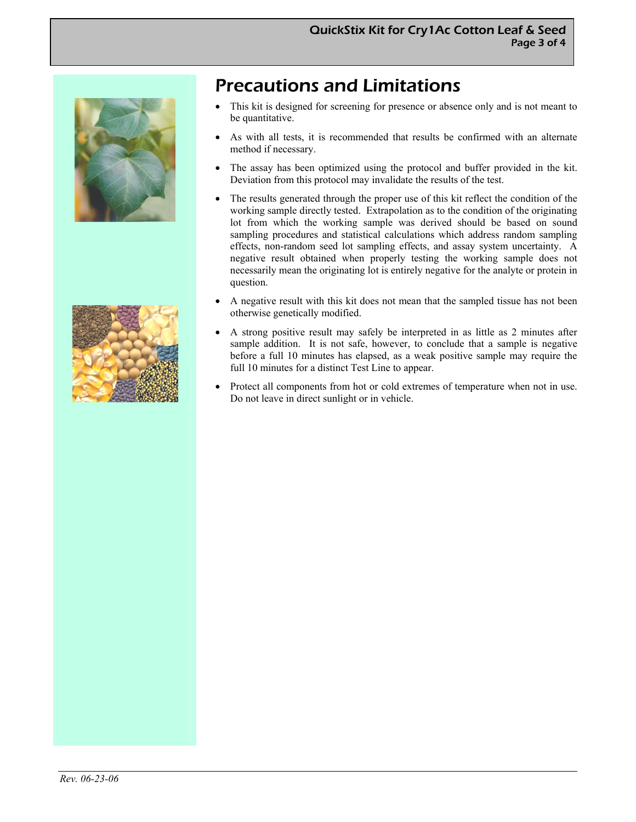



# Precautions and Limitations

- This kit is designed for screening for presence or absence only and is not meant to be quantitative.
- As with all tests, it is recommended that results be confirmed with an alternate method if necessary.
- The assay has been optimized using the protocol and buffer provided in the kit. Deviation from this protocol may invalidate the results of the test.
- The results generated through the proper use of this kit reflect the condition of the working sample directly tested. Extrapolation as to the condition of the originating lot from which the working sample was derived should be based on sound sampling procedures and statistical calculations which address random sampling effects, non-random seed lot sampling effects, and assay system uncertainty. A negative result obtained when properly testing the working sample does not necessarily mean the originating lot is entirely negative for the analyte or protein in question.
- A negative result with this kit does not mean that the sampled tissue has not been otherwise genetically modified.
- A strong positive result may safely be interpreted in as little as 2 minutes after sample addition. It is not safe, however, to conclude that a sample is negative before a full 10 minutes has elapsed, as a weak positive sample may require the full 10 minutes for a distinct Test Line to appear.
- Protect all components from hot or cold extremes of temperature when not in use. Do not leave in direct sunlight or in vehicle.